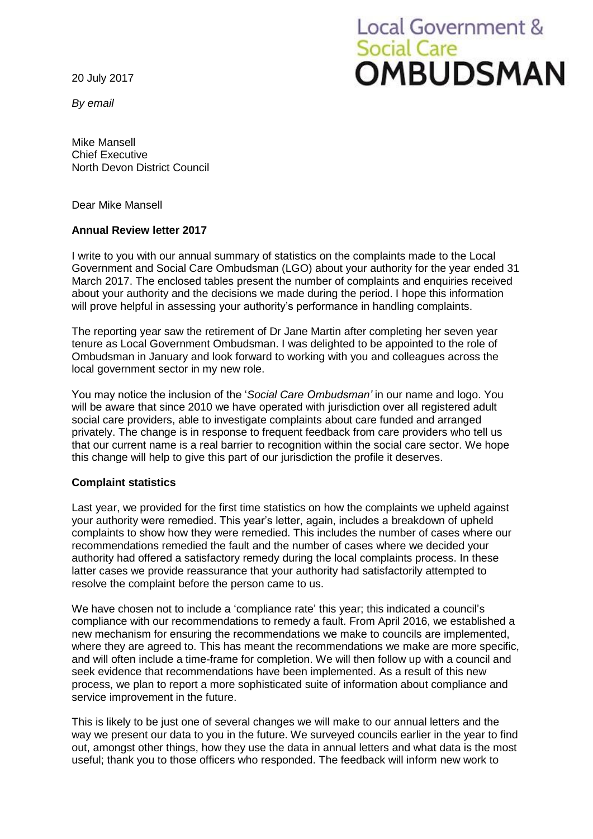20 July 2017

*By email*

# Local Government & **Social Care OMBUDSMAN**

Mike Mansell Chief Executive North Devon District Council

Dear Mike Mansell

#### **Annual Review letter 2017**

I write to you with our annual summary of statistics on the complaints made to the Local Government and Social Care Ombudsman (LGO) about your authority for the year ended 31 March 2017. The enclosed tables present the number of complaints and enquiries received about your authority and the decisions we made during the period. I hope this information will prove helpful in assessing your authority's performance in handling complaints.

The reporting year saw the retirement of Dr Jane Martin after completing her seven year tenure as Local Government Ombudsman. I was delighted to be appointed to the role of Ombudsman in January and look forward to working with you and colleagues across the local government sector in my new role.

You may notice the inclusion of the '*Social Care Ombudsman'* in our name and logo. You will be aware that since 2010 we have operated with jurisdiction over all registered adult social care providers, able to investigate complaints about care funded and arranged privately. The change is in response to frequent feedback from care providers who tell us that our current name is a real barrier to recognition within the social care sector. We hope this change will help to give this part of our jurisdiction the profile it deserves.

#### **Complaint statistics**

Last year, we provided for the first time statistics on how the complaints we upheld against your authority were remedied. This year's letter, again, includes a breakdown of upheld complaints to show how they were remedied. This includes the number of cases where our recommendations remedied the fault and the number of cases where we decided your authority had offered a satisfactory remedy during the local complaints process. In these latter cases we provide reassurance that your authority had satisfactorily attempted to resolve the complaint before the person came to us.

We have chosen not to include a 'compliance rate' this year; this indicated a council's compliance with our recommendations to remedy a fault. From April 2016, we established a new mechanism for ensuring the recommendations we make to councils are implemented, where they are agreed to. This has meant the recommendations we make are more specific, and will often include a time-frame for completion. We will then follow up with a council and seek evidence that recommendations have been implemented. As a result of this new process, we plan to report a more sophisticated suite of information about compliance and service improvement in the future.

This is likely to be just one of several changes we will make to our annual letters and the way we present our data to you in the future. We surveyed councils earlier in the year to find out, amongst other things, how they use the data in annual letters and what data is the most useful; thank you to those officers who responded. The feedback will inform new work to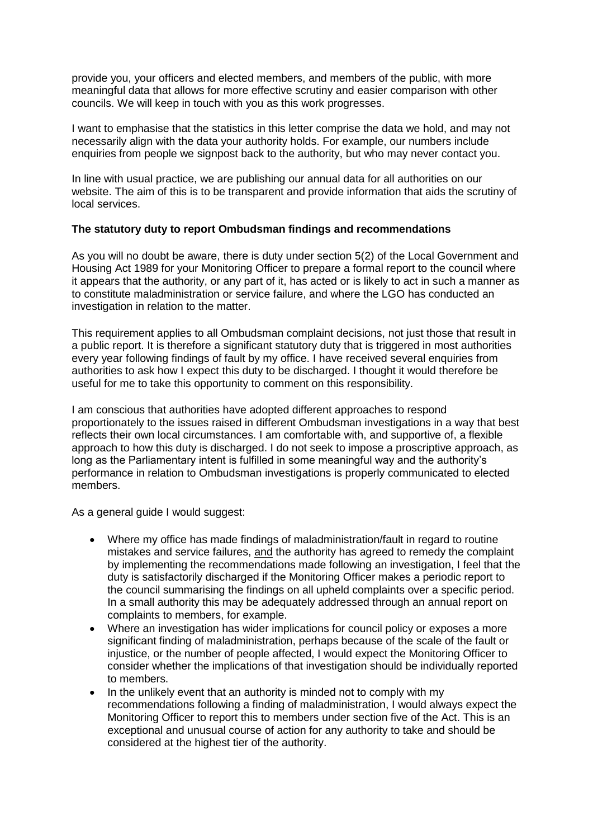provide you, your officers and elected members, and members of the public, with more meaningful data that allows for more effective scrutiny and easier comparison with other councils. We will keep in touch with you as this work progresses.

I want to emphasise that the statistics in this letter comprise the data we hold, and may not necessarily align with the data your authority holds. For example, our numbers include enquiries from people we signpost back to the authority, but who may never contact you.

In line with usual practice, we are publishing our annual data for all authorities on our website. The aim of this is to be transparent and provide information that aids the scrutiny of local services.

#### **The statutory duty to report Ombudsman findings and recommendations**

As you will no doubt be aware, there is duty under section 5(2) of the Local Government and Housing Act 1989 for your Monitoring Officer to prepare a formal report to the council where it appears that the authority, or any part of it, has acted or is likely to act in such a manner as to constitute maladministration or service failure, and where the LGO has conducted an investigation in relation to the matter.

This requirement applies to all Ombudsman complaint decisions, not just those that result in a public report. It is therefore a significant statutory duty that is triggered in most authorities every year following findings of fault by my office. I have received several enquiries from authorities to ask how I expect this duty to be discharged. I thought it would therefore be useful for me to take this opportunity to comment on this responsibility.

I am conscious that authorities have adopted different approaches to respond proportionately to the issues raised in different Ombudsman investigations in a way that best reflects their own local circumstances. I am comfortable with, and supportive of, a flexible approach to how this duty is discharged. I do not seek to impose a proscriptive approach, as long as the Parliamentary intent is fulfilled in some meaningful way and the authority's performance in relation to Ombudsman investigations is properly communicated to elected members.

As a general guide I would suggest:

- Where my office has made findings of maladministration/fault in regard to routine mistakes and service failures, and the authority has agreed to remedy the complaint by implementing the recommendations made following an investigation, I feel that the duty is satisfactorily discharged if the Monitoring Officer makes a periodic report to the council summarising the findings on all upheld complaints over a specific period. In a small authority this may be adequately addressed through an annual report on complaints to members, for example.
- Where an investigation has wider implications for council policy or exposes a more significant finding of maladministration, perhaps because of the scale of the fault or injustice, or the number of people affected, I would expect the Monitoring Officer to consider whether the implications of that investigation should be individually reported to members.
- In the unlikely event that an authority is minded not to comply with my recommendations following a finding of maladministration, I would always expect the Monitoring Officer to report this to members under section five of the Act. This is an exceptional and unusual course of action for any authority to take and should be considered at the highest tier of the authority.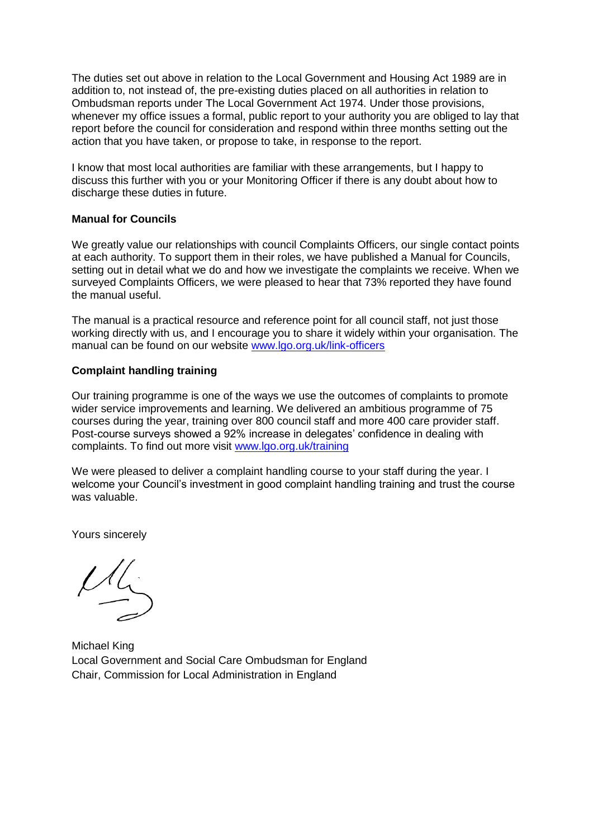The duties set out above in relation to the Local Government and Housing Act 1989 are in addition to, not instead of, the pre-existing duties placed on all authorities in relation to Ombudsman reports under The Local Government Act 1974. Under those provisions, whenever my office issues a formal, public report to your authority you are obliged to lay that report before the council for consideration and respond within three months setting out the action that you have taken, or propose to take, in response to the report.

I know that most local authorities are familiar with these arrangements, but I happy to discuss this further with you or your Monitoring Officer if there is any doubt about how to discharge these duties in future.

#### **Manual for Councils**

We greatly value our relationships with council Complaints Officers, our single contact points at each authority. To support them in their roles, we have published a Manual for Councils, setting out in detail what we do and how we investigate the complaints we receive. When we surveyed Complaints Officers, we were pleased to hear that 73% reported they have found the manual useful.

The manual is a practical resource and reference point for all council staff, not just those working directly with us, and I encourage you to share it widely within your organisation. The manual can be found on our website [www.lgo.org.uk/link-officers](http://www.lgo.org.uk/link-officers)

### **Complaint handling training**

Our training programme is one of the ways we use the outcomes of complaints to promote wider service improvements and learning. We delivered an ambitious programme of 75 courses during the year, training over 800 council staff and more 400 care provider staff. Post-course surveys showed a 92% increase in delegates' confidence in dealing with complaints. To find out more visit [www.lgo.org.uk/training](http://www.lgo.org.uk/training)

We were pleased to deliver a complaint handling course to your staff during the year. I welcome your Council's investment in good complaint handling training and trust the course was valuable.

Yours sincerely

 $\underline{\mu}$ 

Michael King Local Government and Social Care Ombudsman for England Chair, Commission for Local Administration in England